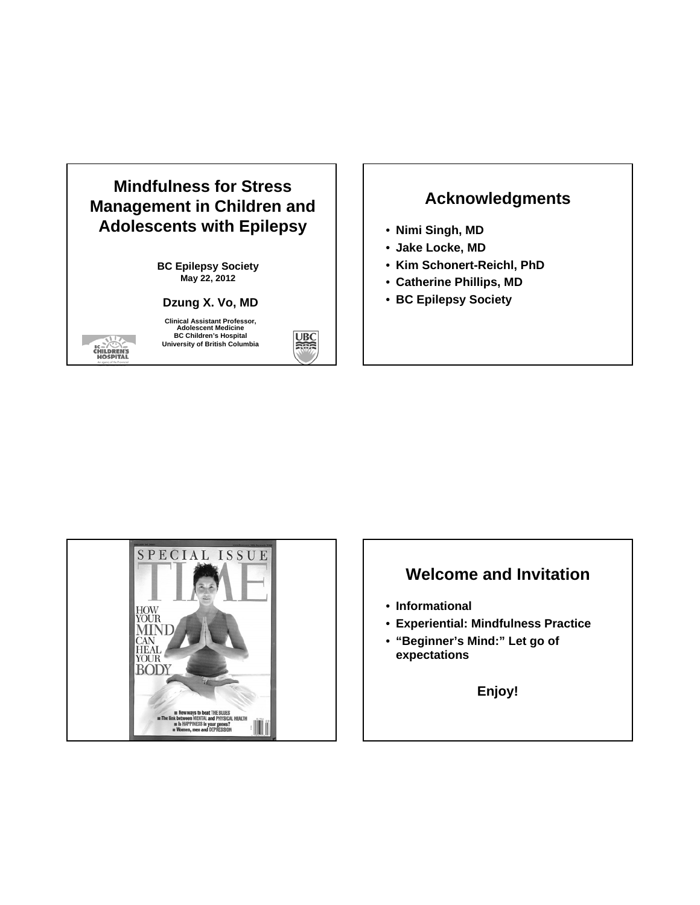

### **Acknowledgments**

- **Nimi Singh, MD**
- **Jake Locke, MD**
- **Kim Schonert-Reichl, PhD**
- **Catherine Phillips, MD**
- **BC Epilepsy Society**



### **Welcome and Invitation**

- **Informational**
- **Experiential: Mindfulness Practice**
- **"Beginner's Mind:" Let go of expectations**

**Enjoy!**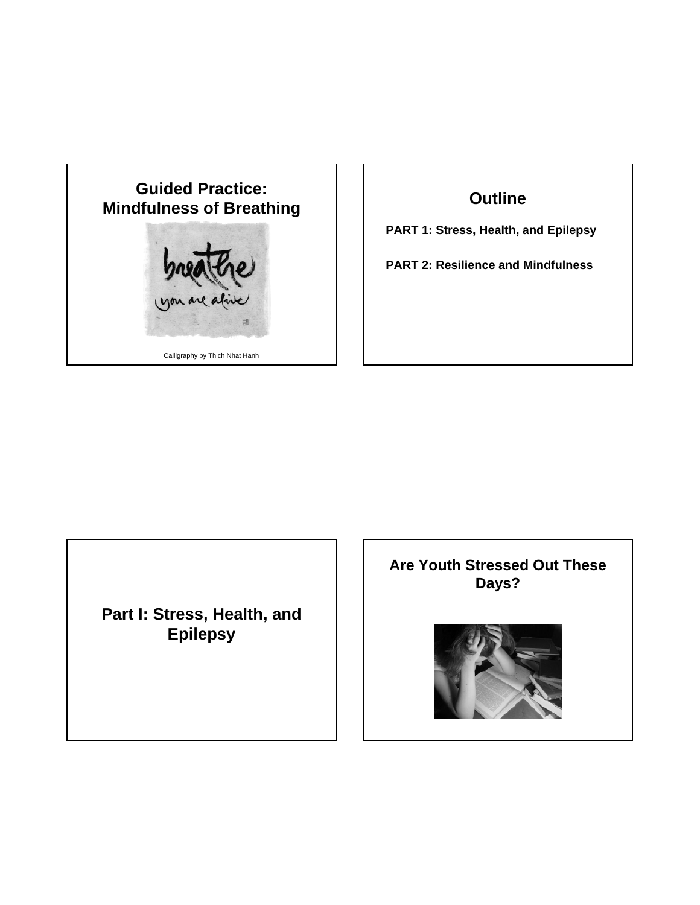

### **Outline**

**PART 1: Stress, Health, and Epilepsy**

**PART 2: Resilience and Mindfulness**

**Part I: Stress, Health, and Epilepsy**

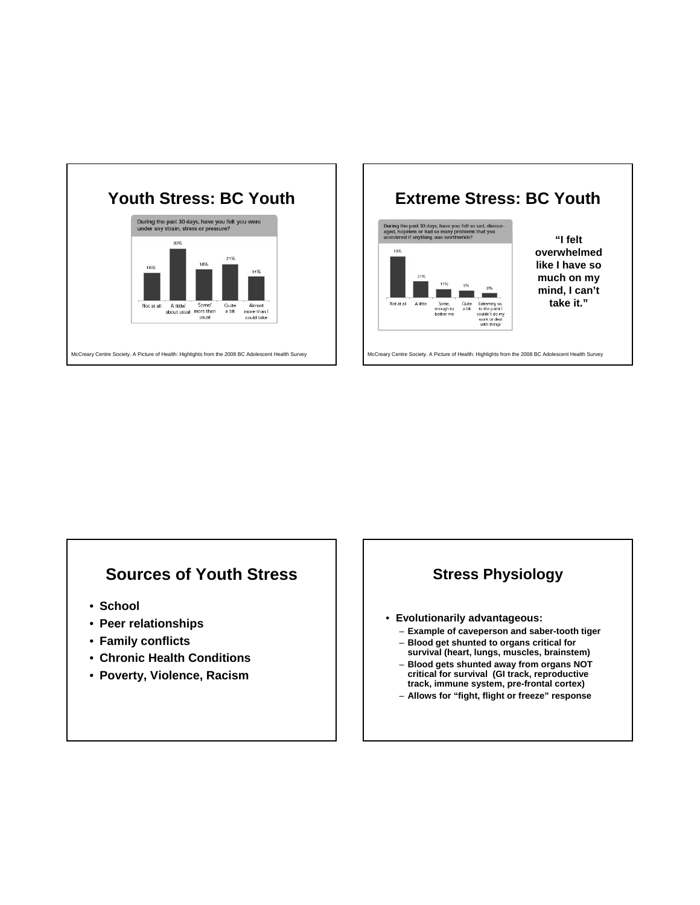



### **Sources of Youth Stress**

- **School**
- **Peer relationships**
- **Family conflicts**
- **Chronic Health Conditions**
- **Poverty, Violence, Racism**

### **Stress Physiology**

- **Evolutionarily advantageous:**
	- **Example of caveperson and saber-tooth tiger** – **Blood get shunted to organs critical for**
	- **survival (heart, lungs, muscles, brainstem)** – **Blood gets shunted away from organs NOT**
	- **critical for survival (GI track, reproductive track, immune system, pre-frontal cortex)**
	- **Allows for "fight, flight or freeze" response**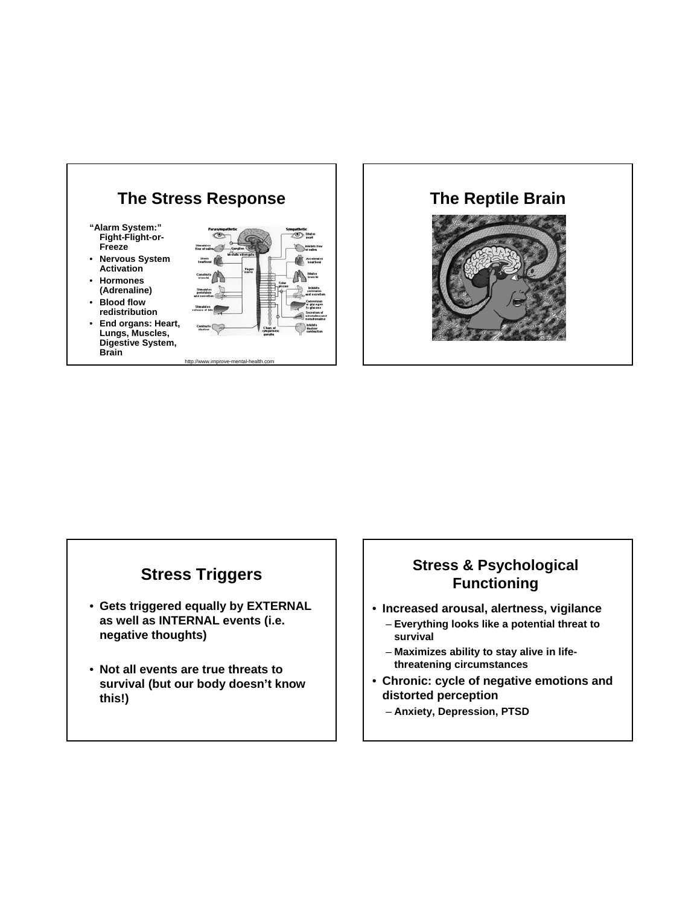

# **The Reptile Brain**

### **Stress Triggers**

- **Gets triggered equally by EXTERNAL as well as INTERNAL events (i.e. negative thoughts)**
- **Not all events are true threats to survival (but our body doesn't know this!)**

### **Stress & Psychological Functioning**

- **Increased arousal, alertness, vigilance**
	- **Everything looks like a potential threat to survival**
	- **Maximizes ability to stay alive in lifethreatening circumstances**
- **Chronic: cycle of negative emotions and distorted perception**
	- **Anxiety, Depression, PTSD**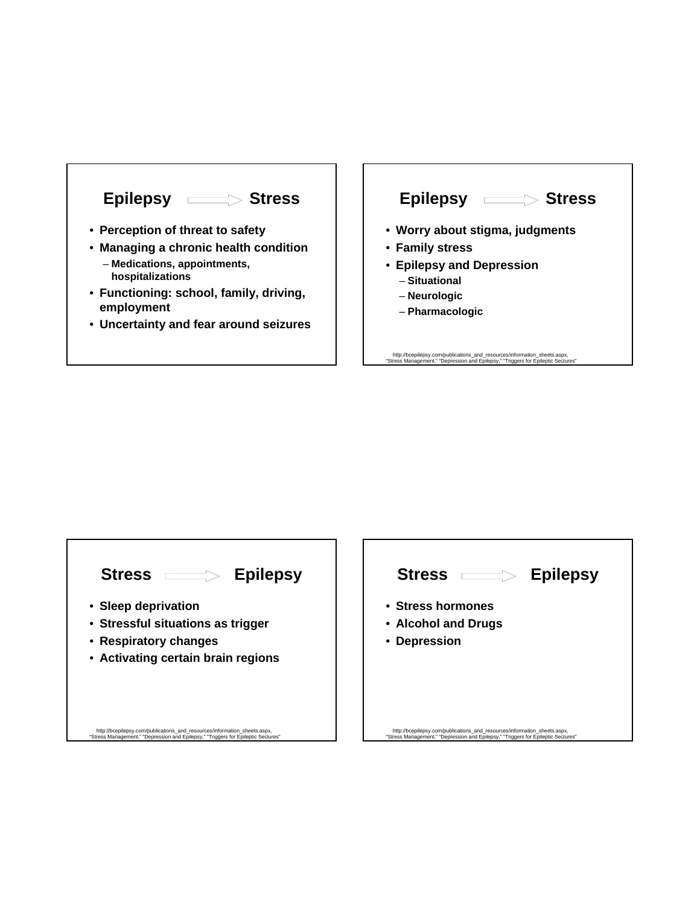

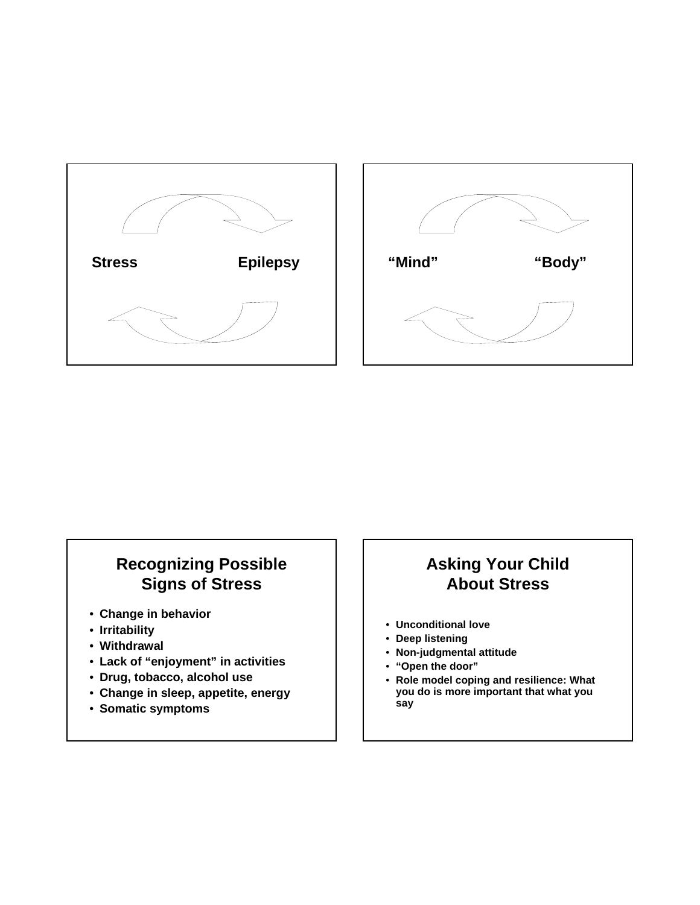



# **Recognizing Possible Signs of Stress**

- **Change in behavior**
- **Irritability**
- **Withdrawal**
- **Lack of "enjoyment" in activities**
- **Drug, tobacco, alcohol use**
- **Change in sleep, appetite, energy**
- **Somatic symptoms**

# **Asking Your Child About Stress**

- **Unconditional love**
- **Deep listening**
- **Non-judgmental attitude**
- **"Open the door"**
- **Role model coping and resilience: What you do is more important that what you say**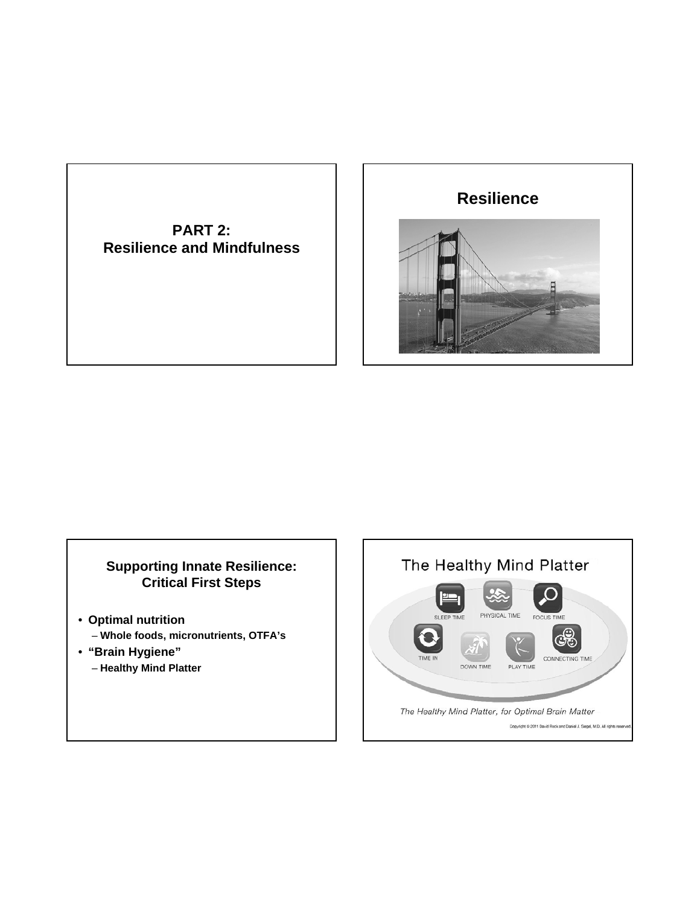**PART 2: Resilience and Mindfulness**



### **Supporting Innate Resilience: Critical First Steps**

- **Optimal nutrition**  – **Whole foods, micronutrients, OTFA's**
- **"Brain Hygiene"**
	- **Healthy Mind Platter**

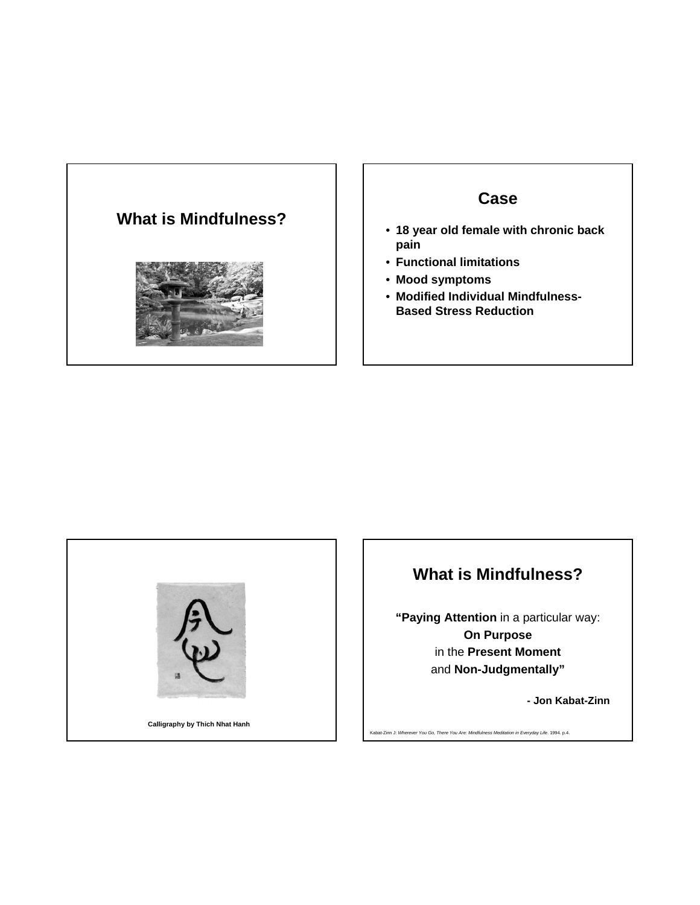# **What is Mindfulness?**



### **Case**

- **18 year old female with chronic back pain**
- **Functional limitations**
- **Mood symptoms**
- **Modified Individual Mindfulness-Based Stress Reduction**



### **What is Mindfulness?**

**"Paying Attention** in a particular way: **On Purpose** in the **Present Moment** and **Non-Judgmentally"**

**- Jon Kabat-Zinn**

Kabat-Zinn J: *Wherever You Go, There You Are: Mindfulness Meditation in Everyday Life*. 1994. p.4.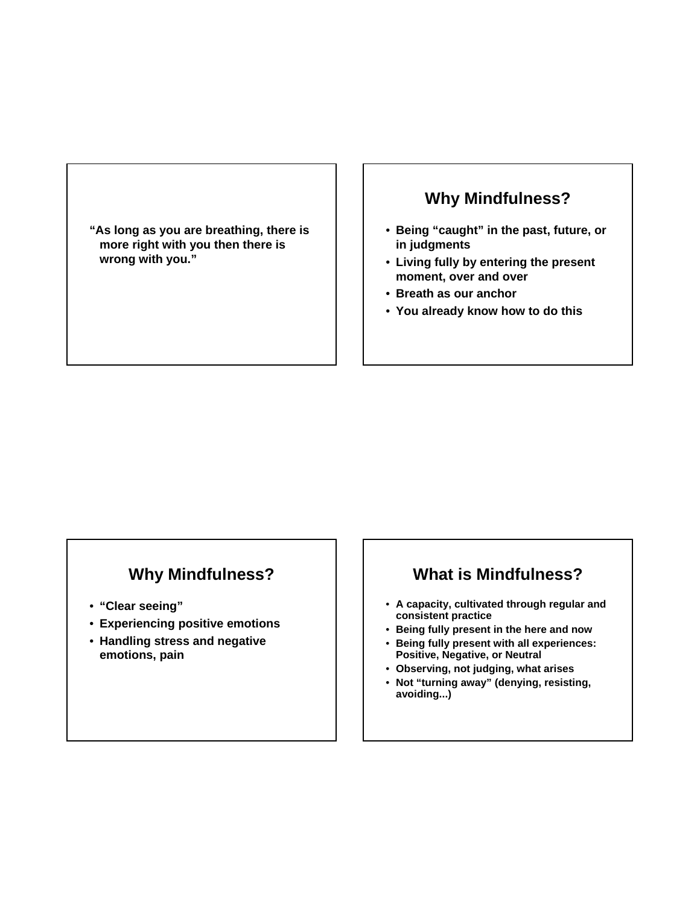**"As long as you are breathing, there is more right with you then there is wrong with you."**

### **Why Mindfulness?**

- **Being "caught" in the past, future, or in judgments**
- **Living fully by entering the present moment, over and over**
- **Breath as our anchor**
- **You already know how to do this**

### **Why Mindfulness?**

- **"Clear seeing"**
- **Experiencing positive emotions**
- **Handling stress and negative emotions, pain**

### **What is Mindfulness?**

- **A capacity, cultivated through regular and consistent practice**
- **Being fully present in the here and now**
- **Being fully present with all experiences: Positive, Negative, or Neutral**
- **Observing, not judging, what arises**
- **Not "turning away" (denying, resisting, avoiding...)**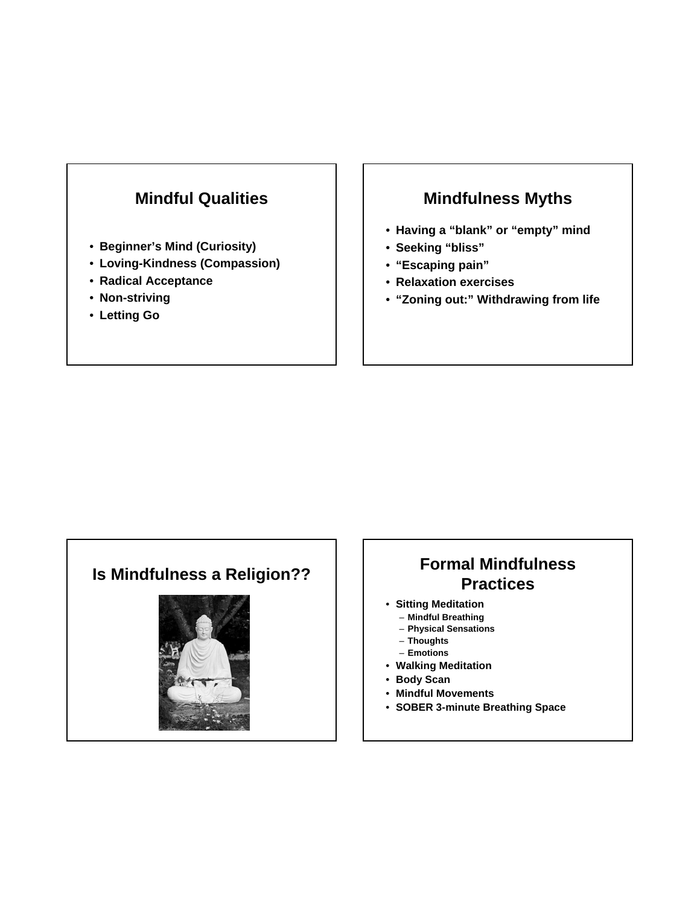### **Mindful Qualities**

- **Beginner's Mind (Curiosity)**
- **Loving-Kindness (Compassion)**
- **Radical Acceptance**
- **Non-striving**
- **Letting Go**

### **Mindfulness Myths**

- **Having a "blank" or "empty" mind**
- **Seeking "bliss"**
- **"Escaping pain"**
- **Relaxation exercises**
- **"Zoning out:" Withdrawing from life**



### **Is Mindfulness a Religion?? Formal Mindfulness Practices**

- **Sitting Meditation**
	- **Mindful Breathing**
	- **Physical Sensations** – **Thoughts**
	- **Emotions**
- **Walking Meditation**
- **Body Scan**
- **Mindful Movements**
- **SOBER 3-minute Breathing Space**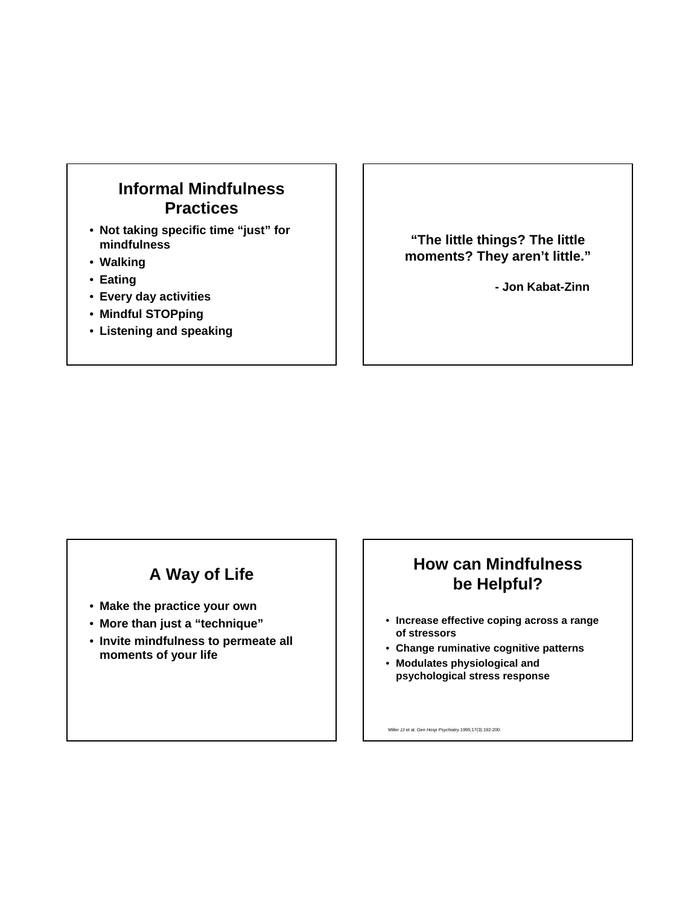### **Informal Mindfulness Practices**

- **Not taking specific time "just" for mindfulness**
- **Walking**
- **Eating**
- **Every day activities**
- **Mindful STOPping**
- **Listening and speaking**

**"The little things? The little moments? They aren't little."**

**- Jon Kabat-Zinn**

### **A Way of Life**

- **Make the practice your own**
- **More than just a "technique"**
- **Invite mindfulness to permeate all moments of your life**

### **How can Mindfulness be Helpful?**

- **Increase effective coping across a range of stressors**
- **Change ruminative cognitive patterns**
- **Modulates physiological and psychological stress response**

Miller JJ et al. *Gen Hosp Psychiatry* 1995;17(3):192-200.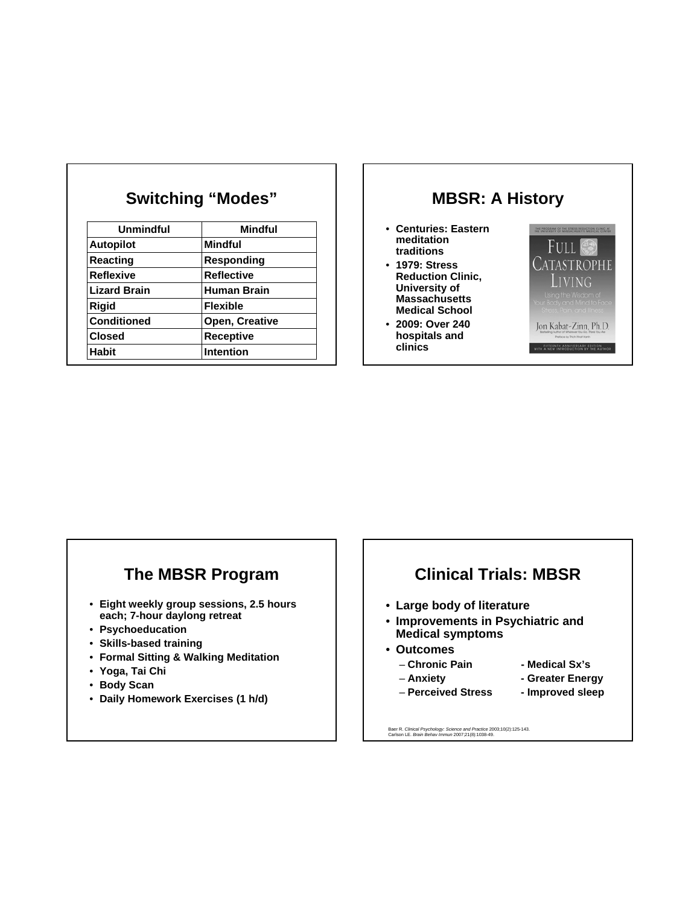| <b>Unmindful</b>    | <b>Mindful</b>     |
|---------------------|--------------------|
| <b>Autopilot</b>    | Mindful            |
| <b>Reacting</b>     | Responding         |
| <b>Reflexive</b>    | <b>Reflective</b>  |
| <b>Lizard Brain</b> | <b>Human Brain</b> |
| <b>Rigid</b>        | <b>Flexible</b>    |
| <b>Conditioned</b>  | Open, Creative     |
| <b>Closed</b>       | <b>Receptive</b>   |
| <b>Habit</b>        | <b>Intention</b>   |

**Switching "Modes"**

### **MBSR: A History**

- **Centuries: Eastern meditation traditions**
- **1979: Stress Reduction Clinic, University of Massachusetts Medical School**
- **2009: Over 240 hospitals and clinics**



### **The MBSR Program**

- **Eight weekly group sessions, 2.5 hours each; 7-hour daylong retreat**
- **Psychoeducation**
- **Skills-based training**
- **Formal Sitting & Walking Meditation**
- **Yoga, Tai Chi**
- **Body Scan**
- **Daily Homework Exercises (1 h/d)**

### **Clinical Trials: MBSR**

- **Large body of literature**
- **Improvements in Psychiatric and Medical symptoms**
- **Outcomes**
	- **Chronic Pain Medical Sx's**
		-
	- **Anxiety Greater Energy**
		-
	- **Perceived Stress Improved sleep**
- -

Baer R. *Clinical Psychology: Science and Practice* 2003;10(2):125-143. Carlson LE. *Brain Behav Immun* 2007;21(8):1038-49.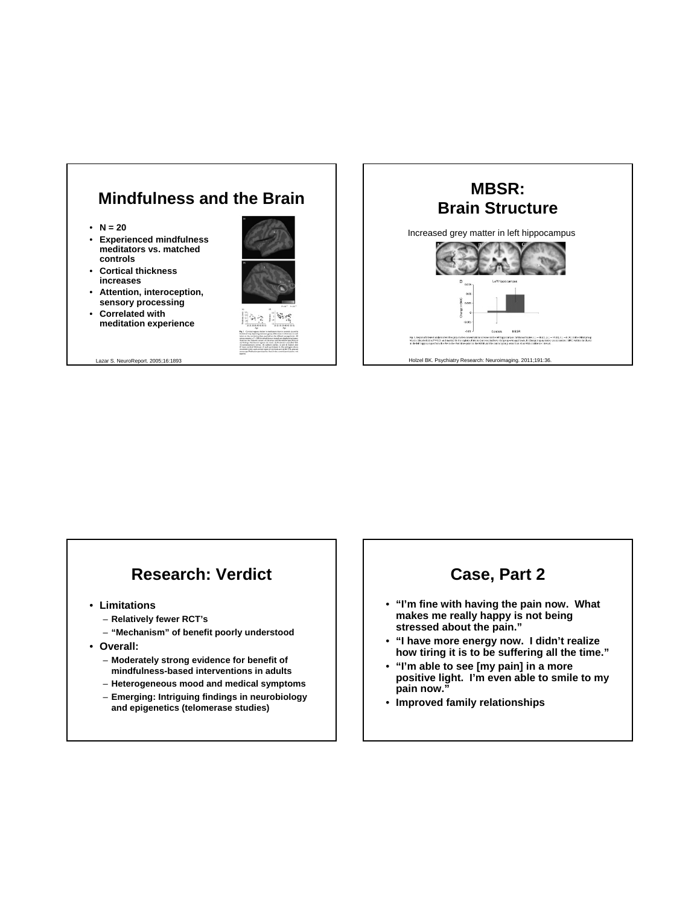

- $N = 20$
- **Experienced mindfulness meditators vs. matched controls**
- **Cortical thickness increases**
- **Attention, interoception, sensory processing**
- **Correlated with meditation experience**

Lazar S. NeuroReport. 2005;16:1893





### **Research: Verdict**

- **Limitations**
	- **Relatively fewer RCT's**
	- **"Mechanism" of benefit poorly understood**
- **Overall:** 
	- **Moderately strong evidence for benefit of mindfulness-based interventions in adults**
	- **Heterogeneous mood and medical symptoms**
	- **Emerging: Intriguing findings in neurobiology and epigenetics (telomerase studies)**

### **Case, Part 2**

- **"I'm fine with having the pain now. What makes me really happy is not being stressed about the pain."**
- **"I have more energy now. I didn't realize how tiring it is to be suffering all the time."**
- **"I'm able to see [my pain] in a more positive light. I'm even able to smile to my pain now."**
- **Improved family relationships**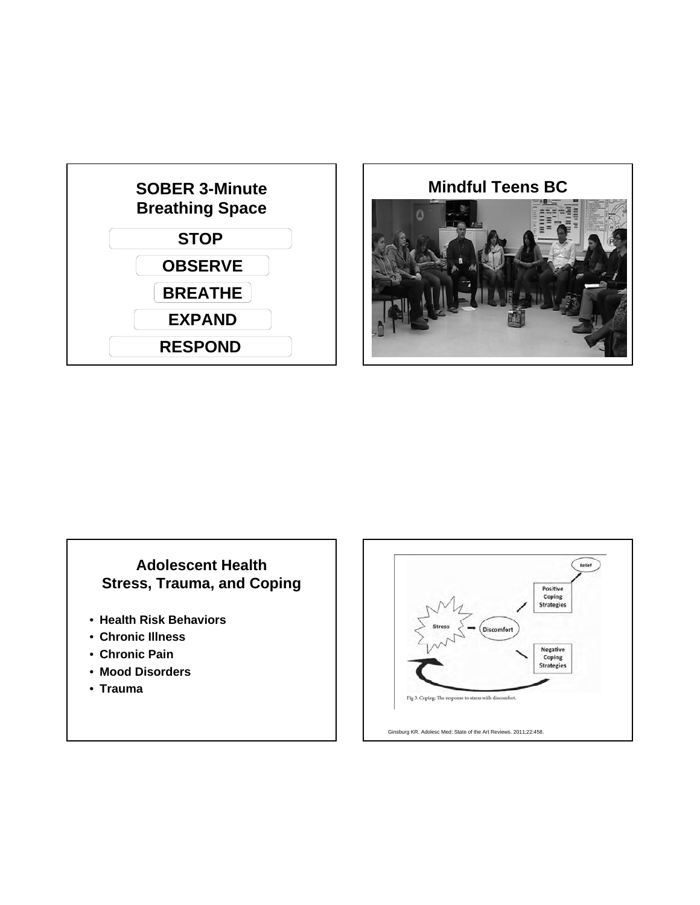



### **Adolescent Health Stress, Trauma, and Coping**

- **Health Risk Behaviors**
- **Chronic Illness**
- **Chronic Pain**
- **Mood Disorders**
- **Trauma**

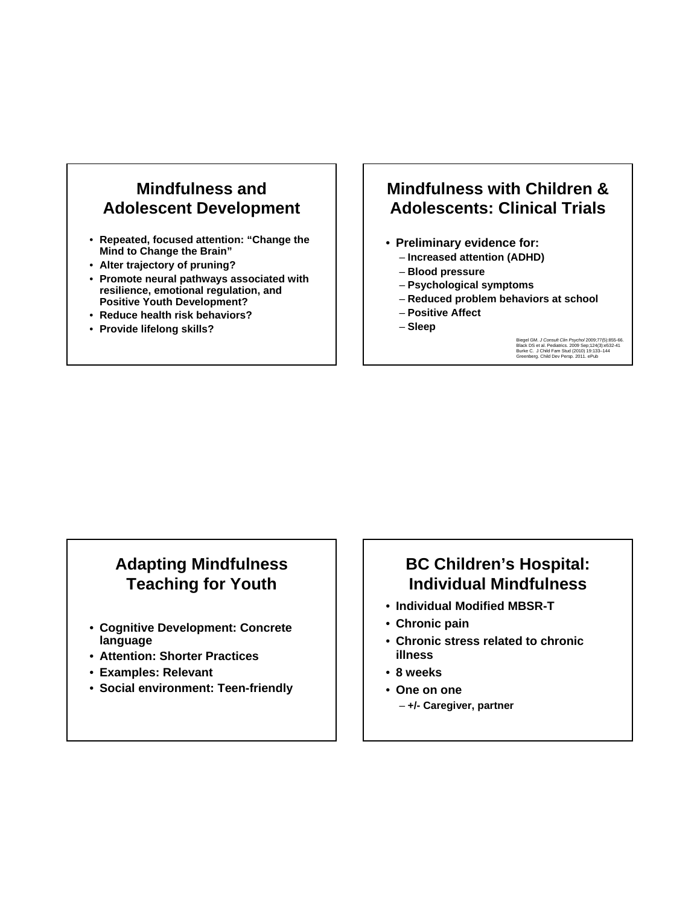### **Mindfulness and Adolescent Development**

- **Repeated, focused attention: "Change the Mind to Change the Brain"**
- **Alter trajectory of pruning?**
- **Promote neural pathways associated with resilience, emotional regulation, and Positive Youth Development?**
- **Reduce health risk behaviors?**
- **Provide lifelong skills?**

### **Mindfulness with Children & Adolescents: Clinical Trials**

- **Preliminary evidence for:** 
	- **Increased attention (ADHD)**
	- **Blood pressure**
	- **Psychological symptoms**
	- **Reduced problem behaviors at school**
	- **Positive Affect**
	- **Sleep**

Biegel GM. *J Consult Clin Psychol* 2009;77(5):855-66.<br>Black DS et al. Pediatrics. 2009 Sep;124(3):e532-41<br>Burke C. J Child Fam Stud (2010) 19:133–144<br>Greenberg. Child Dev Persp. 2011. ePub

### **Adapting Mindfulness Teaching for Youth**

- **Cognitive Development: Concrete language**
- **Attention: Shorter Practices**
- **Examples: Relevant**
- **Social environment: Teen-friendly**

### **BC Children's Hospital: Individual Mindfulness**

- **Individual Modified MBSR-T**
- **Chronic pain**
- **Chronic stress related to chronic illness**
- **8 weeks**
- **One on one**
	- **+/- Caregiver, partner**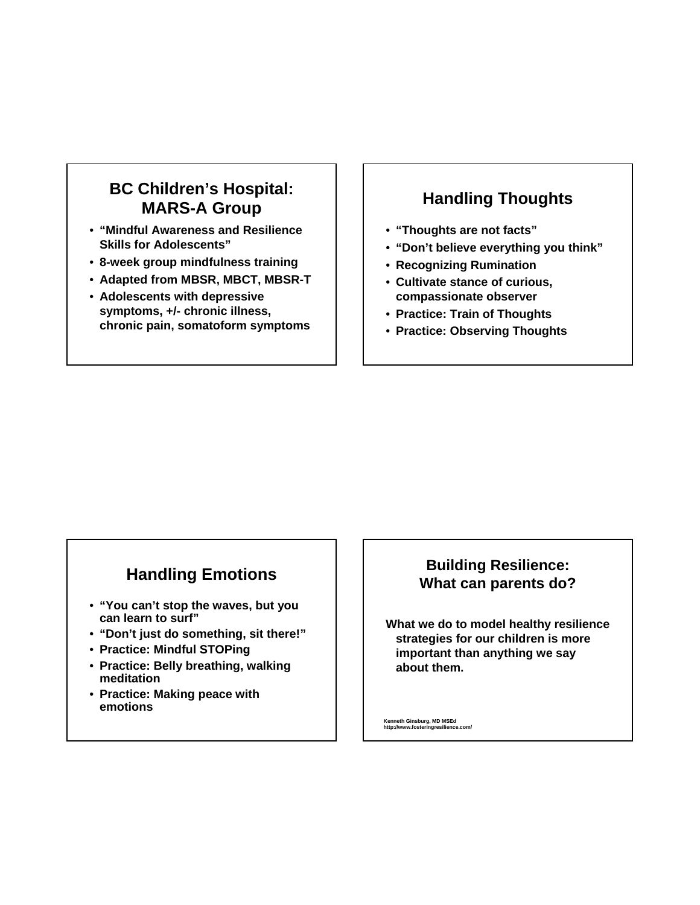### **BC Children's Hospital: MARS-A Group**

- **"Mindful Awareness and Resilience Skills for Adolescents"**
- **8-week group mindfulness training**
- **Adapted from MBSR, MBCT, MBSR-T**
- **Adolescents with depressive symptoms, +/- chronic illness, chronic pain, somatoform symptoms**

### **Handling Thoughts**

- **"Thoughts are not facts"**
- **"Don't believe everything you think"**
- **Recognizing Rumination**
- **Cultivate stance of curious, compassionate observer**
- **Practice: Train of Thoughts**
- **Practice: Observing Thoughts**

### **Handling Emotions**

- **"You can't stop the waves, but you can learn to surf"**
- **"Don't just do something, sit there!"**
- **Practice: Mindful STOPing**
- **Practice: Belly breathing, walking meditation**
- **Practice: Making peace with emotions**

### **Building Resilience: What can parents do?**

**What we do to model healthy resilience strategies for our children is more important than anything we say about them.**

**Kenneth Ginsburg, MD MSEd http://www.fosteringresilience.com/**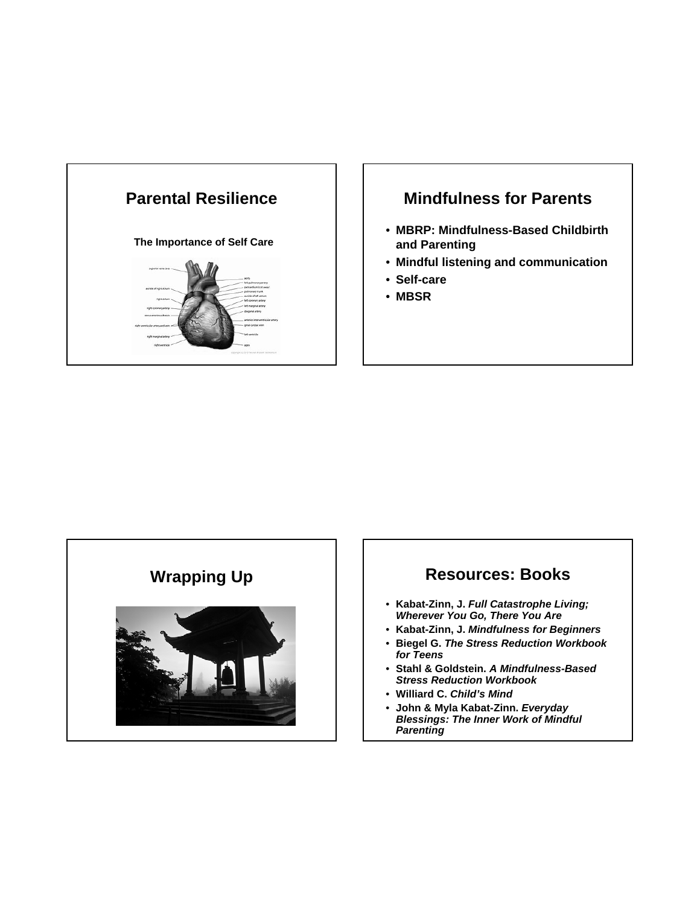

### **Mindfulness for Parents**

- **MBRP: Mindfulness-Based Childbirth and Parenting**
- **Mindful listening and communication**
- **Self-care**
- **MBSR**



### Wrapping Up **Resources: Books**

- **Kabat-Zinn, J.** *Full Catastrophe Living; Wherever You Go, There You Are*
- **Kabat-Zinn, J.** *Mindfulness for Beginners*
- **Biegel G.** *The Stress Reduction Workbook for Teens*
- **Stahl & Goldstein.** *A Mindfulness-Based Stress Reduction Workbook*
- **Williard C.** *Child's Mind*
- **John & Myla Kabat-Zinn.** *Everyday Blessings: The Inner Work of Mindful Parenting*